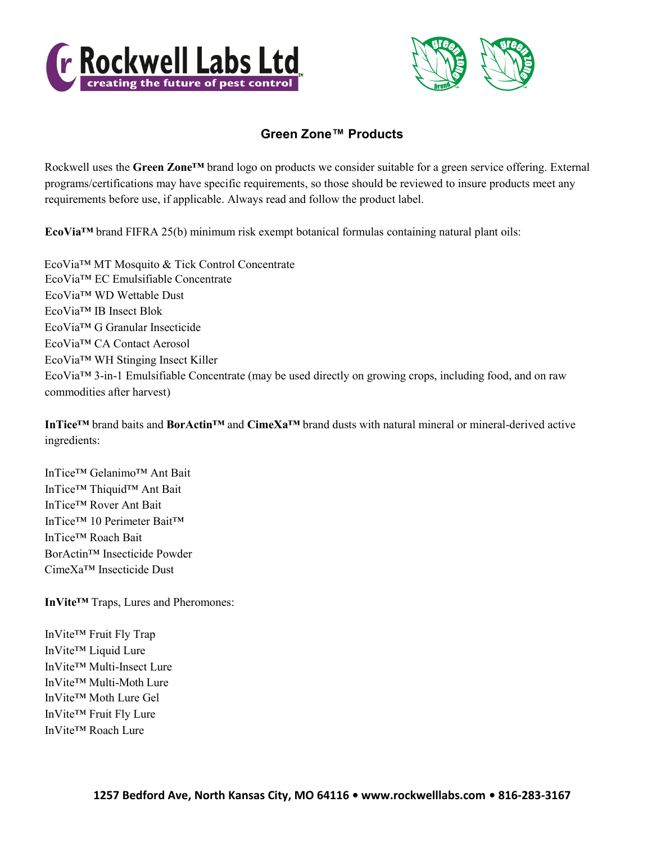



## **Green Zone™ Products**

Rockwell uses the **Green Zone™** brand logo on products we consider suitable for a green service offering. External programs/certifications may have specific requirements, so those should be reviewed to insure products meet any requirements before use, if applicable. Always read and follow the product label.

**EcoVia™** brand FIFRA 25(b) minimum risk exempt botanical formulas containing natural plant oils:

EcoVia™ EC Emulsifiable Concentrate EcoVia™ WD Wettable Dust EcoVia™ IB Insect Blok EcoVia™ G Granular Insecticide EcoVia™ CA Contact Aerosol EcoVia™ WH Stinging Insect Killer EcoVia™ 3-in-1 Emulsifiable Concentrate (may be used directly on growing crops, including food, and on raw commodities after harvest) EcoVia™ MT Mosquito & Tick Control Concentrate

**InTice™** brand baits and **BorActin™** and **CimeXa™** brand dusts with natural mineral or mineral-derived active ingredients:

InTice™ Gelanimo™ Ant Bait InTice™ Thiquid™ Ant Bait InTice™ Rover Ant Bait InTice™ 10 Perimeter Bait™ InTice™ Roach Bait BorActin™ Insecticide Powder CimeXa™ Insecticide Dust

**InVite™** Traps, Lures and Pheromones:

InVite™ Fruit Fly Trap InVite™ Liquid Lure InVite™ Multi-Insect Lure InVite™ Multi-Moth Lure InVite™ Moth Lure Gel InVite™ Fruit Fly Lure InVite™ Roach Lure